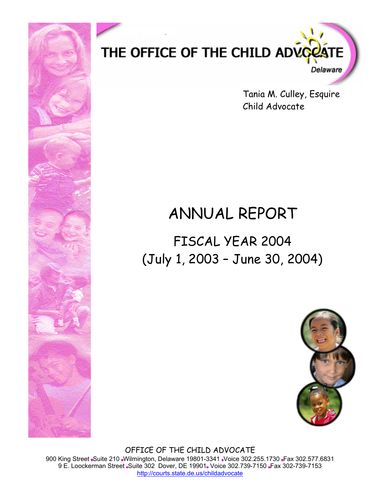

Tania M. Culley, Esquire Child Advocate

# ANNUAL REPORT

FISCAL YEAR 2004 (July 1, 2003 – June 30, 2004)



OFFICE OF THE CHILD ADVOCATE 900 King Street Suite 210 Wilmington, Delaware 19801-3341 Voice 302.255.1730 Fax 302.577.6831 9 E. Loockerman Street Suite 302 Dover, DE 19901 Voice 302.739-7150 Fax 302-739-7153 http://courts.state.de.us/childadvocate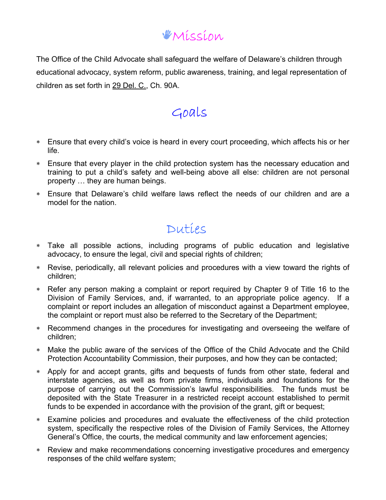### Mission

The Office of the Child Advocate shall safeguard the welfare of Delaware's children through educational advocacy, system reform, public awareness, training, and legal representation of children as set forth in 29 Del. C., Ch. 90A.

### Goals

- ∗ Ensure that every child's voice is heard in every court proceeding, which affects his or her life.
- ∗ Ensure that every player in the child protection system has the necessary education and training to put a child's safety and well-being above all else: children are not personal property … they are human beings.
- ∗ Ensure that Delaware's child welfare laws reflect the needs of our children and are a model for the nation.

### Duties

- ∗ Take all possible actions, including programs of public education and legislative advocacy, to ensure the legal, civil and special rights of children;
- ∗ Revise, periodically, all relevant policies and procedures with a view toward the rights of children;
- ∗ Refer any person making a complaint or report required by Chapter 9 of Title 16 to the Division of Family Services, and, if warranted, to an appropriate police agency. If a complaint or report includes an allegation of misconduct against a Department employee, the complaint or report must also be referred to the Secretary of the Department;
- ∗ Recommend changes in the procedures for investigating and overseeing the welfare of children;
- ∗ Make the public aware of the services of the Office of the Child Advocate and the Child Protection Accountability Commission, their purposes, and how they can be contacted;
- ∗ Apply for and accept grants, gifts and bequests of funds from other state, federal and interstate agencies, as well as from private firms, individuals and foundations for the purpose of carrying out the Commission's lawful responsibilities. The funds must be deposited with the State Treasurer in a restricted receipt account established to permit funds to be expended in accordance with the provision of the grant, gift or bequest;
- ∗ Examine policies and procedures and evaluate the effectiveness of the child protection system, specifically the respective roles of the Division of Family Services, the Attorney General's Office, the courts, the medical community and law enforcement agencies;
- ∗ Review and make recommendations concerning investigative procedures and emergency responses of the child welfare system;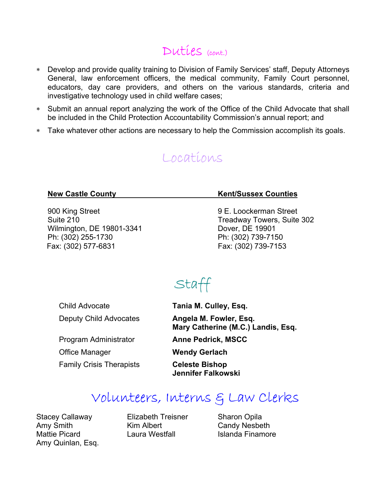### Duties (cont.)

- ∗ Develop and provide quality training to Division of Family Services' staff, Deputy Attorneys General, law enforcement officers, the medical community, Family Court personnel, educators, day care providers, and others on the various standards, criteria and investigative technology used in child welfare cases;
- ∗ Submit an annual report analyzing the work of the Office of the Child Advocate that shall be included in the Child Protection Accountability Commission's annual report; and
- ∗ Take whatever other actions are necessary to help the Commission accomplish its goals.

### Locations

900 King Street **900 King Street** 9 E. Loockerman Street Wilmington, DE 19801-3341 Dover, DE 19901 Ph: (302) 255-1730 Ph: (302) 739-7150 Fax: (302) 577-6831 Fax: (302) 739-7153

#### **New Castle County New Castle County Kent/Sussex Counties**

Suite 210 Suite 210

# Staff

Child Advocate **Tania M. Culley, Esq.**

Program Administrator **Anne Pedrick, MSCC** Office Manager **Wendy Gerlach** Family Crisis Therapists **Celeste Bishop** 

Deputy Child Advocates **Angela M. Fowler, Esq. Mary Catherine (M.C.) Landis, Esq.**

 **Jennifer Falkowski** 

### Volunteers, Interns & Law Clerks

Stacey Callaway **Elizabeth Treisner** Sharon Opila Amy Smith Kim Albert Candy Nesbeth Mattie Picard **Laura Westfall** Islanda Finamore Amy Quinlan, Esq.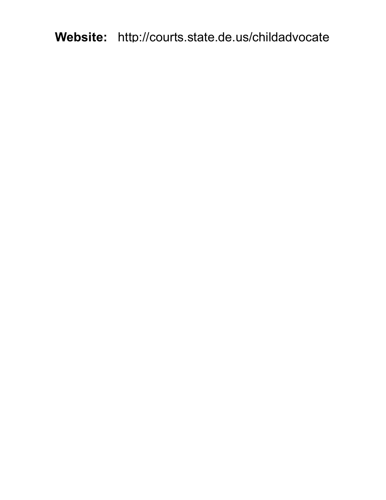**Website:** http://courts.state.de.us/childadvocate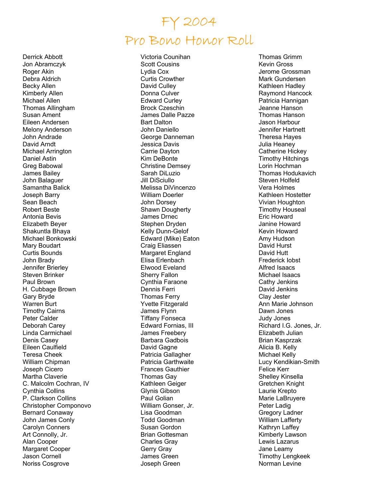# FY 2004 Pro Bono Honor Roll

Derrick Abbott Jon Abramczyk Roger Akin Debra Aldrich Becky Allen Kimberly Allen Michael Allen Thomas Allingham Susan Ament Eileen Andersen Melony Anderson John Andrade David Arndt Michael Arrington Daniel Astin Greg Babowal James Bailey John Balaguer Samantha Balick Joseph Barry Sean Beach Robert Beste Antonia Bevis Elizabeth Beyer Shakuntla Bhaya Michael Bonkowski Mary Boudart Curtis Bounds John Brady Jennifer Brierley Steven Brinker Paul Brown H. Cubbage Brown Gary Bryde Warren Burt Timothy Cairns Peter Calder Deborah Carey Linda Carmichael Denis Casey Eileen Caulfield Teresa Cheek William Chipman Joseph Cicero Martha Claverie C. Malcolm Cochran, IV Cynthia Collins P. Clarkson Collins Christopher Componovo Bernard Conaway John James Conly Carolyn Conners Art Connolly, Jr. Alan Cooper Margaret Cooper Jason Cornell Noriss Cosgrove

Victoria Counihan Scott Cousins Lydia Cox Curtis Crowther David Culley Donna Culver Edward Curley Brock Czeschin James Dalle Pazze Bart Dalton John Daniello George Danneman Jessica Davis Carrie Dayton Kim DeBonte Christine Demsey Sarah DiLuzio Jill DiSciullo Melissa DiVincenzo William Doerler John Dorsey Shawn Dougherty James Drnec Stephen Dryden Kelly Dunn-Gelof Edward (Mike) Eaton Craig Eliassen Margaret England Elisa Erlenbach Elwood Eveland Sherry Fallon Cynthia Faraone Dennis Ferri Thomas Ferry Yvette Fitzgerald James Flynn Tiffany Fonseca Edward Fornias, III James Freebery Barbara Gadbois David Gagne Patricia Gallagher Patricia Garthwaite Frances Gauthier Thomas Gay Kathleen Geiger Glynis Gibson Paul Golian William Gonser, Jr. Lisa Goodman Todd Goodman Susan Gordon Brian Gottesman Charles Gray Gerry Gray James Green Joseph Green

Thomas Grimm Kevin Gross Jerome Grossman Mark Gundersen Kathleen Hadley Raymond Hancock Patricia Hannigan Jeanne Hanson Thomas Hanson Jason Harbour Jennifer Hartnett Theresa Hayes Julia Heaney Catherine Hickey Timothy Hitchings Lorin Hochman Thomas Hodukavich Steven Holfeld Vera Holmes Kathleen Hostetter Vivian Houghton Timothy Houseal Eric Howard Janine Howard Kevin Howard Amy Hudson David Hurst David Hutt Frederick Iobst Alfred Isaacs Michael Isaacs Cathy Jenkins David Jenkins Clay Jester Ann Marie Johnson Dawn Jones Judy Jones Richard I.G. Jones, Jr. Elizabeth Julian Brian Kasprzak Alicia B. Kelly Michael Kelly Lucy Kendikian-Smith Felice Kerr Shelley Kinsella Gretchen Knight Laurie Krepto Marie LaBruyere Peter Ladig Gregory Ladner William Lafferty Kathryn Laffey Kimberly Lawson Lewis Lazarus Jane Leamy Timothy Lengkeek Norman Levine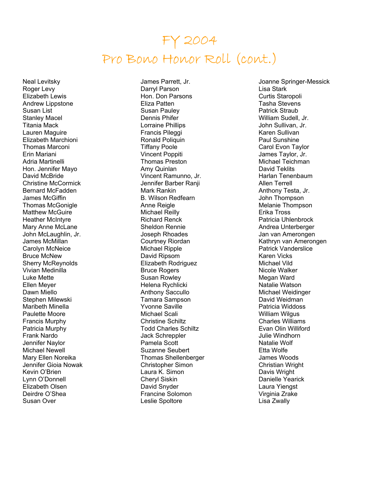## FY 2004 Pro Bono Honor Roll (cont.)

Neal Levitsky Roger Levy Elizabeth Lewis Andrew Lippstone Susan List Stanley Macel Titania Mack Lauren Maguire Elizabeth Marchioni Thomas Marconi Erin Mariani Adria Martinelli Hon. Jennifer Mayo David McBride Christine McCormick Bernard McFadden James McGiffin Thomas McGonigle Matthew McGuire Heather McIntyre Mary Anne McLane John McLaughlin, Jr. James McMillan Carolyn McNeice Bruce McNew Sherry McReynolds Vivian Medinilla Luke Mette Ellen Meyer Dawn Miello Stephen Milewski Maribeth Minella Paulette Moore Francis Murphy Patricia Murphy Frank Nardo Jennifer Naylor Michael Newell Mary Ellen Noreika Jennifer Gioia Nowak Kevin O'Brien Lynn O'Donnell Elizabeth Olsen Deirdre O'Shea Susan Over

James Parrett, Jr. Darryl Parson Hon. Don Parsons Eliza Patten Susan Pauley Dennis Phifer Lorraine Phillips Francis Pileggi Ronald Poliquin Tiffany Poole Vincent Poppiti Thomas Preston Amy Quinlan Vincent Ramunno, Jr. Jennifer Barber Ranji Mark Rankin B. Wilson Redfearn Anne Reigle Michael Reilly Richard Renck Sheldon Rennie Joseph Rhoades Courtney Riordan Michael Ripple David Ripsom Elizabeth Rodriguez Bruce Rogers Susan Rowley Helena Rychlicki Anthony Saccullo Tamara Sampson Yvonne Saville Michael Scali Christine Schiltz Todd Charles Schiltz Jack Schreppler Pamela Scott Suzanne Seubert Thomas Shellenberger Christopher Simon Laura K. Simon Cheryl Siskin David Snyder Francine Solomon Leslie Spoltore

Joanne Springer-Messick Lisa Stark Curtis Staropoli Tasha Stevens Patrick Straub William Sudell, Jr. John Sullivan, Jr. Karen Sullivan Paul Sunshine Carol Evon Taylor James Taylor, Jr. Michael Teichman David Teklits Harlan Tenenbaum Allen Terrell Anthony Testa, Jr. John Thompson Melanie Thompson Erika Tross Patricia Uhlenbrock Andrea Unterberger Jan van Amerongen Kathryn van Amerongen Patrick Vanderslice Karen Vicks Michael Vild Nicole Walker Megan Ward Natalie Watson Michael Weidinger David Weidman Patricia Widdoss William Wilgus Charles Williams Evan Olin Williford Julie Windhorn Natalie Wolf Etta Wolfe James Woods Christian Wright Davis Wright Danielle Yearick Laura Yiengst Virginia Zrake Lisa Zwally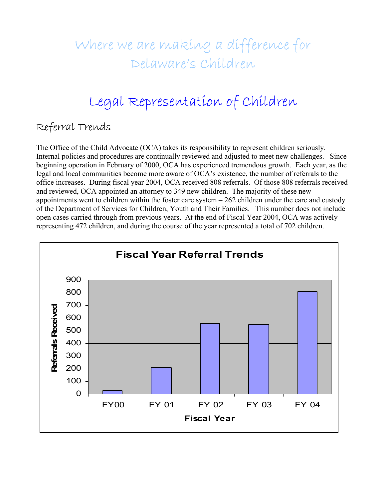# Where we are making a difference for Delaware's Children

# Legal Representation of Children

### Referral Trends

The Office of the Child Advocate (OCA) takes its responsibility to represent children seriously. Internal policies and procedures are continually reviewed and adjusted to meet new challenges. Since beginning operation in February of 2000, OCA has experienced tremendous growth. Each year, as the legal and local communities become more aware of OCA's existence, the number of referrals to the office increases. During fiscal year 2004, OCA received 808 referrals. Of those 808 referrals received and reviewed, OCA appointed an attorney to 349 new children. The majority of these new appointments went to children within the foster care system  $-262$  children under the care and custody of the Department of Services for Children, Youth and Their Families. This number does not include open cases carried through from previous years. At the end of Fiscal Year 2004, OCA was actively representing 472 children, and during the course of the year represented a total of 702 children.

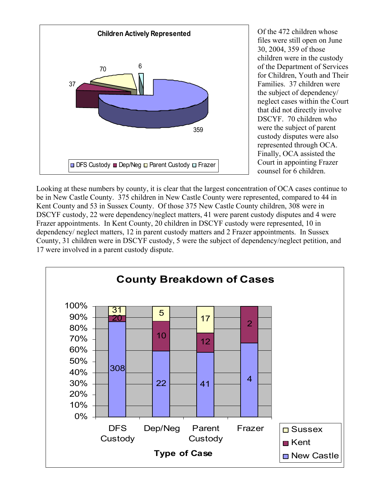

Of the 472 children whose files were still open on June 30, 2004, 359 of those children were in the custody of the Department of Services for Children, Youth and Their Families. 37 children were the subject of dependency/ neglect cases within the Court that did not directly involve DSCYF. 70 children who were the subject of parent custody disputes were also represented through OCA. Finally, OCA assisted the Court in appointing Frazer counsel for 6 children.

Looking at these numbers by county, it is clear that the largest concentration of OCA cases continue to be in New Castle County. 375 children in New Castle County were represented, compared to 44 in Kent County and 53 in Sussex County. Of those 375 New Castle County children, 308 were in DSCYF custody, 22 were dependency/neglect matters, 41 were parent custody disputes and 4 were Frazer appointments. In Kent County, 20 children in DSCYF custody were represented, 10 in dependency/ neglect matters, 12 in parent custody matters and 2 Frazer appointments. In Sussex County, 31 children were in DSCYF custody, 5 were the subject of dependency/neglect petition, and 17 were involved in a parent custody dispute.

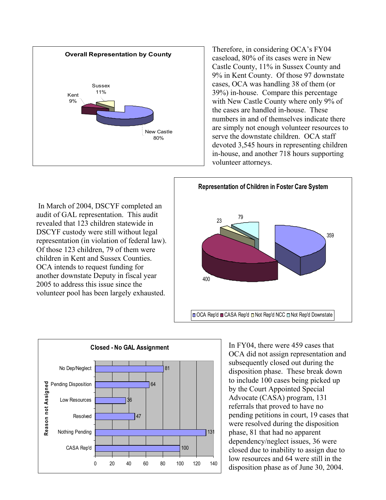

Therefore, in considering OCA's FY04 caseload, 80% of its cases were in New Castle County, 11% in Sussex County and 9% in Kent County. Of those 97 downstate cases, OCA was handling 38 of them (or 39%) in-house. Compare this percentage with New Castle County where only 9% of the cases are handled in-house. These numbers in and of themselves indicate there are simply not enough volunteer resources to serve the downstate children. OCA staff devoted 3,545 hours in representing children in-house, and another 718 hours supporting volunteer attorneys.





 In March of 2004, DSCYF completed an audit of GAL representation. This audit revealed that 123 children statewide in DSCYF custody were still without legal representation (in violation of federal law). Of those 123 children, 79 of them were children in Kent and Sussex Counties. OCA intends to request funding for another downstate Deputy in fiscal year 2005 to address this issue since the volunteer pool has been largely exhausted.

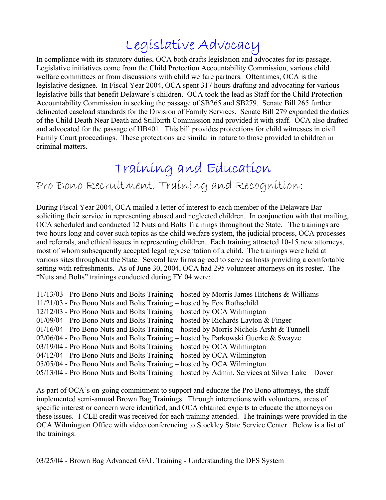# Legislative Advocacy

In compliance with its statutory duties, OCA both drafts legislation and advocates for its passage. Legislative initiatives come from the Child Protection Accountability Commission, various child welfare committees or from discussions with child welfare partners. Oftentimes, OCA is the legislative designee. In Fiscal Year 2004, OCA spent 317 hours drafting and advocating for various legislative bills that benefit Delaware's children. OCA took the lead as Staff for the Child Protection Accountability Commission in seeking the passage of SB265 and SB279. Senate Bill 265 further delineated caseload standards for the Division of Family Services. Senate Bill 279 expanded the duties of the Child Death Near Death and Stillbirth Commission and provided it with staff. OCA also drafted and advocated for the passage of HB401. This bill provides protections for child witnesses in civil Family Court proceedings. These protections are similar in nature to those provided to children in criminal matters.

### Training and Education

### Pro Bono Recruitment, Training and Recognition:

During Fiscal Year 2004, OCA mailed a letter of interest to each member of the Delaware Bar soliciting their service in representing abused and neglected children. In conjunction with that mailing, OCA scheduled and conducted 12 Nuts and Bolts Trainings throughout the State. The trainings are two hours long and cover such topics as the child welfare system, the judicial process, OCA processes and referrals, and ethical issues in representing children. Each training attracted 10-15 new attorneys, most of whom subsequently accepted legal representation of a child. The trainings were held at various sites throughout the State. Several law firms agreed to serve as hosts providing a comfortable setting with refreshments. As of June 30, 2004, OCA had 295 volunteer attorneys on its roster. The "Nuts and Bolts" trainings conducted during FY 04 were:

11/13/03 - Pro Bono Nuts and Bolts Training – hosted by Morris James Hitchens & Williams 11/21/03 - Pro Bono Nuts and Bolts Training – hosted by Fox Rothschild 12/12/03 - Pro Bono Nuts and Bolts Training – hosted by OCA Wilmington  $01/09/04$  - Pro Bono Nuts and Bolts Training – hosted by Richards Layton & Finger 01/16/04 - Pro Bono Nuts and Bolts Training – hosted by Morris Nichols Arsht & Tunnell 02/06/04 - Pro Bono Nuts and Bolts Training – hosted by Parkowski Guerke & Swayze 03/19/04 - Pro Bono Nuts and Bolts Training – hosted by OCA Wilmington 04/12/04 - Pro Bono Nuts and Bolts Training – hosted by OCA Wilmington 05/05/04 - Pro Bono Nuts and Bolts Training – hosted by OCA Wilmington 05/13/04 - Pro Bono Nuts and Bolts Training – hosted by Admin. Services at Silver Lake – Dover

As part of OCA's on-going commitment to support and educate the Pro Bono attorneys, the staff implemented semi-annual Brown Bag Trainings. Through interactions with volunteers, areas of specific interest or concern were identified, and OCA obtained experts to educate the attorneys on these issues. 1 CLE credit was received for each training attended. The trainings were provided in the OCA Wilmington Office with video conferencing to Stockley State Service Center. Below is a list of the trainings: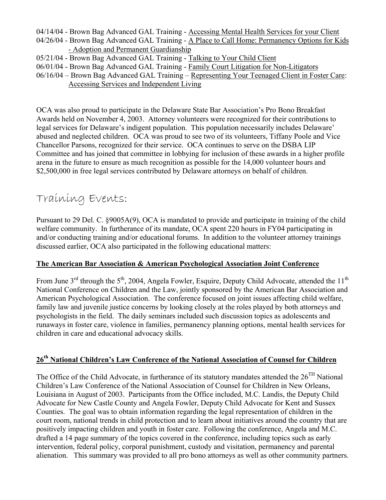- 04/14/04 Brown Bag Advanced GAL Training Accessing Mental Health Services for your Client 04/26/04 - Brown Bag Advanced GAL Training - A Place to Call Home: Permanency Options for Kids - Adoption and Permanent Guardianship 05/21/04 - Brown Bag Advanced GAL Training - Talking to Your Child Client
- 06/01/04 Brown Bag Advanced GAL Training Family Court Litigation for Non-Litigators
- 06/16/04 Brown Bag Advanced GAL Training Representing Your Teenaged Client in Foster Care: Accessing Services and Independent Living

OCA was also proud to participate in the Delaware State Bar Association's Pro Bono Breakfast Awards held on November 4, 2003. Attorney volunteers were recognized for their contributions to legal services for Delaware's indigent population. This population necessarily includes Delaware' abused and neglected children. OCA was proud to see two of its volunteers, Tiffany Poole and Vice Chancellor Parsons, recognized for their service. OCA continues to serve on the DSBA LIP Committee and has joined that committee in lobbying for inclusion of these awards in a higher profile arena in the future to ensure as much recognition as possible for the 14,000 volunteer hours and \$2,500,000 in free legal services contributed by Delaware attorneys on behalf of children.

### Training Events:

Pursuant to 29 Del. C. §9005A(9), OCA is mandated to provide and participate in training of the child welfare community. In furtherance of its mandate, OCA spent 220 hours in FY04 participating in and/or conducting training and/or educational forums. In addition to the volunteer attorney trainings discussed earlier, OCA also participated in the following educational matters:

#### **The American Bar Association & American Psychological Association Joint Conference**

From June  $3<sup>rd</sup>$  through the  $5<sup>th</sup>$ , 2004, Angela Fowler, Esquire, Deputy Child Advocate, attended the 11<sup>th</sup> National Conference on Children and the Law, jointly sponsored by the American Bar Association and American Psychological Association. The conference focused on joint issues affecting child welfare, family law and juvenile justice concerns by looking closely at the roles played by both attorneys and psychologists in the field. The daily seminars included such discussion topics as adolescents and runaways in foster care, violence in families, permanency planning options, mental health services for children in care and educational advocacy skills.

### **26th National Children's Law Conference of the National Association of Counsel for Children**

The Office of the Child Advocate, in furtherance of its statutory mandates attended the  $26<sup>TH</sup>$  National Children's Law Conference of the National Association of Counsel for Children in New Orleans, Louisiana in August of 2003. Participants from the Office included, M.C. Landis, the Deputy Child Advocate for New Castle County and Angela Fowler, Deputy Child Advocate for Kent and Sussex Counties. The goal was to obtain information regarding the legal representation of children in the court room, national trends in child protection and to learn about initiatives around the country that are positively impacting children and youth in foster care. Following the conference, Angela and M.C. drafted a 14 page summary of the topics covered in the conference, including topics such as early intervention, federal policy, corporal punishment, custody and visitation, permanency and parental alienation. This summary was provided to all pro bono attorneys as well as other community partners.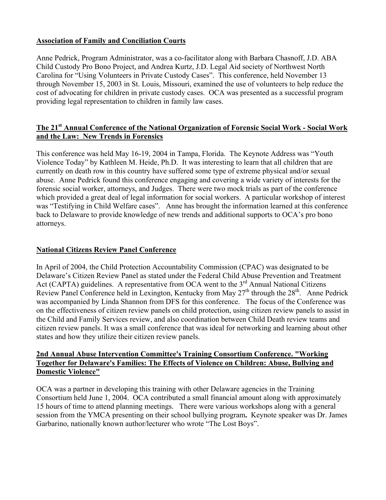#### **Association of Family and Conciliation Courts**

Anne Pedrick, Program Administrator, was a co-facilitator along with Barbara Chasnoff, J.D. ABA Child Custody Pro Bono Project, and Andrea Kurtz, J.D. Legal Aid society of Northwest North Carolina for "Using Volunteers in Private Custody Cases". This conference, held November 13 through November 15, 2003 in St. Louis, Missouri, examined the use of volunteers to help reduce the cost of advocating for children in private custody cases. OCA was presented as a successful program providing legal representation to children in family law cases.

#### **The 21st Annual Conference of the National Organization of Forensic Social Work - Social Work and the Law: New Trends in Forensics**

This conference was held May 16-19, 2004 in Tampa, Florida. The Keynote Address was "Youth Violence Today" by Kathleen M. Heide, Ph.D. It was interesting to learn that all children that are currently on death row in this country have suffered some type of extreme physical and/or sexual abuse. Anne Pedrick found this conference engaging and covering a wide variety of interests for the forensic social worker, attorneys, and Judges. There were two mock trials as part of the conference which provided a great deal of legal information for social workers. A particular workshop of interest was "Testifying in Child Welfare cases". Anne has brought the information learned at this conference back to Delaware to provide knowledge of new trends and additional supports to OCA's pro bono attorneys.

#### **National Citizens Review Panel Conference**

In April of 2004, the Child Protection Accountability Commission (CPAC) was designated to be Delaware's Citizen Review Panel as stated under the Federal Child Abuse Prevention and Treatment Act (CAPTA) guidelines. A representative from OCA went to the  $3<sup>rd</sup>$  Annual National Citizens Review Panel Conference held in Lexington, Kentucky from May  $27<sup>th</sup>$  through the  $28<sup>th</sup>$ . Anne Pedrick was accompanied by Linda Shannon from DFS for this conference. The focus of the Conference was on the effectiveness of citizen review panels on child protection, using citizen review panels to assist in the Child and Family Services review, and also coordination between Child Death review teams and citizen review panels. It was a small conference that was ideal for networking and learning about other states and how they utilize their citizen review panels.

#### **2nd Annual Abuse Intervention Committee's Training Consortium Conference. "Working Together for Delaware's Families: The Effects of Violence on Children: Abuse, Bullying and Domestic Violence"**

OCA was a partner in developing this training with other Delaware agencies in the Training Consortium held June 1, 2004. OCA contributed a small financial amount along with approximately 15 hours of time to attend planning meetings. There were various workshops along with a general session from the YMCA presenting on their school bullying program**.** Keynote speaker was Dr. James Garbarino, nationally known author/lecturer who wrote "The Lost Boys".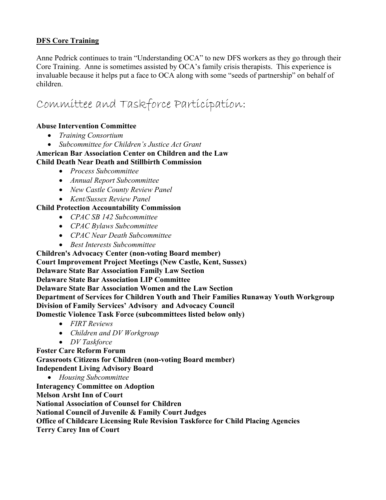#### **DFS Core Training**

Anne Pedrick continues to train "Understanding OCA" to new DFS workers as they go through their Core Training. Anne is sometimes assisted by OCA's family crisis therapists. This experience is invaluable because it helps put a face to OCA along with some "seeds of partnership" on behalf of children.

### Committee and Taskforce Participation:

#### **Abuse Intervention Committee**

- *Training Consortium*
- *Subcommittee for Children's Justice Act Grant*

#### **American Bar Association Center on Children and the Law Child Death Near Death and Stillbirth Commission**

- *Process Subcommittee*
- *Annual Report Subcommittee*
- *New Castle County Review Panel*
- *Kent/Sussex Review Panel*

#### **Child Protection Accountability Commission**

- *CPAC SB 142 Subcommittee*
- *CPAC Bylaws Subcommittee*
- *CPAC Near Death Subcommittee*
- *Best Interests Subcommittee*

**Children's Advocacy Center (non-voting Board member)** 

**Court Improvement Project Meetings (New Castle, Kent, Sussex)** 

**Delaware State Bar Association Family Law Section** 

**Delaware State Bar Association LIP Committee** 

**Delaware State Bar Association Women and the Law Section** 

**Department of Services for Children Youth and Their Families Runaway Youth Workgroup Division of Family Services' Advisory and Advocacy Council** 

**Domestic Violence Task Force (subcommittees listed below only)** 

- *FIRT Reviews*
- *Children and DV Workgroup*
- *DV Taskforce*

**Foster Care Reform Forum** 

**Grassroots Citizens for Children (non-voting Board member) Independent Living Advisory Board** 

• *Housing Subcommittee* 

**Interagency Committee on Adoption** 

**Melson Arsht Inn of Court** 

**National Association of Counsel for Children** 

**National Council of Juvenile & Family Court Judges** 

**Office of Childcare Licensing Rule Revision Taskforce for Child Placing Agencies** 

**Terry Carey Inn of Court**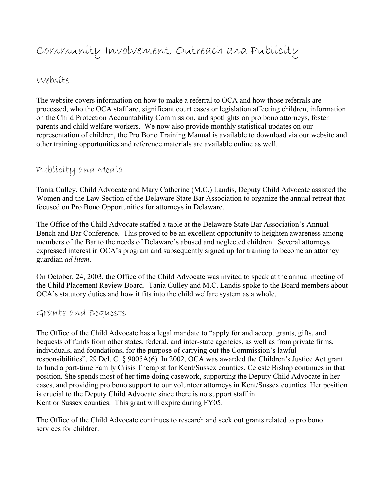### Community Involvement, Outreach and Publicity

#### Website

The website covers information on how to make a referral to OCA and how those referrals are processed, who the OCA staff are, significant court cases or legislation affecting children, information on the Child Protection Accountability Commission, and spotlights on pro bono attorneys, foster parents and child welfare workers. We now also provide monthly statistical updates on our representation of children, the Pro Bono Training Manual is available to download via our website and other training opportunities and reference materials are available online as well.

#### Publicity and Media

Tania Culley, Child Advocate and Mary Catherine (M.C.) Landis, Deputy Child Advocate assisted the Women and the Law Section of the Delaware State Bar Association to organize the annual retreat that focused on Pro Bono Opportunities for attorneys in Delaware.

The Office of the Child Advocate staffed a table at the Delaware State Bar Association's Annual Bench and Bar Conference. This proved to be an excellent opportunity to heighten awareness among members of the Bar to the needs of Delaware's abused and neglected children. Several attorneys expressed interest in OCA's program and subsequently signed up for training to become an attorney guardian *ad litem*.

On October, 24, 2003, the Office of the Child Advocate was invited to speak at the annual meeting of the Child Placement Review Board. Tania Culley and M.C. Landis spoke to the Board members about OCA's statutory duties and how it fits into the child welfare system as a whole.

#### Grants and Bequests

The Office of the Child Advocate has a legal mandate to "apply for and accept grants, gifts, and bequests of funds from other states, federal, and inter-state agencies, as well as from private firms, individuals, and foundations, for the purpose of carrying out the Commission's lawful responsibilities". 29 Del. C. § 9005A(6). In 2002, OCA was awarded the Children's Justice Act grant to fund a part-time Family Crisis Therapist for Kent/Sussex counties. Celeste Bishop continues in that position. She spends most of her time doing casework, supporting the Deputy Child Advocate in her cases, and providing pro bono support to our volunteer attorneys in Kent/Sussex counties. Her position is crucial to the Deputy Child Advocate since there is no support staff in Kent or Sussex counties. This grant will expire during FY05.

The Office of the Child Advocate continues to research and seek out grants related to pro bono services for children.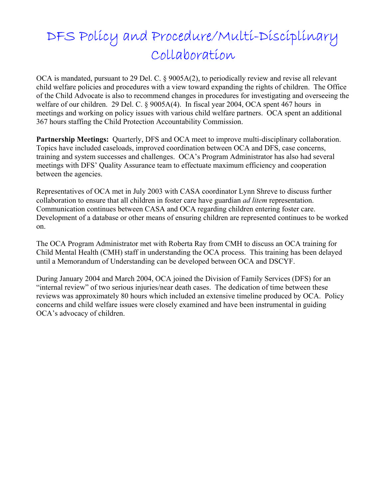# DFS Policy and Procedure/Multi-Disciplinary Collaboration

OCA is mandated, pursuant to 29 Del. C. § 9005A(2), to periodically review and revise all relevant child welfare policies and procedures with a view toward expanding the rights of children. The Office of the Child Advocate is also to recommend changes in procedures for investigating and overseeing the welfare of our children. 29 Del. C. § 9005A(4). In fiscal year 2004, OCA spent 467 hours in meetings and working on policy issues with various child welfare partners. OCA spent an additional 367 hours staffing the Child Protection Accountability Commission.

**Partnership Meetings:** Ouarterly, DFS and OCA meet to improve multi-disciplinary collaboration. Topics have included caseloads, improved coordination between OCA and DFS, case concerns, training and system successes and challenges. OCA's Program Administrator has also had several meetings with DFS' Quality Assurance team to effectuate maximum efficiency and cooperation between the agencies.

Representatives of OCA met in July 2003 with CASA coordinator Lynn Shreve to discuss further collaboration to ensure that all children in foster care have guardian *ad litem* representation. Communication continues between CASA and OCA regarding children entering foster care. Development of a database or other means of ensuring children are represented continues to be worked on.

The OCA Program Administrator met with Roberta Ray from CMH to discuss an OCA training for Child Mental Health (CMH) staff in understanding the OCA process. This training has been delayed until a Memorandum of Understanding can be developed between OCA and DSCYF.

During January 2004 and March 2004, OCA joined the Division of Family Services (DFS) for an "internal review" of two serious injuries/near death cases. The dedication of time between these reviews was approximately 80 hours which included an extensive timeline produced by OCA. Policy concerns and child welfare issues were closely examined and have been instrumental in guiding OCA's advocacy of children.